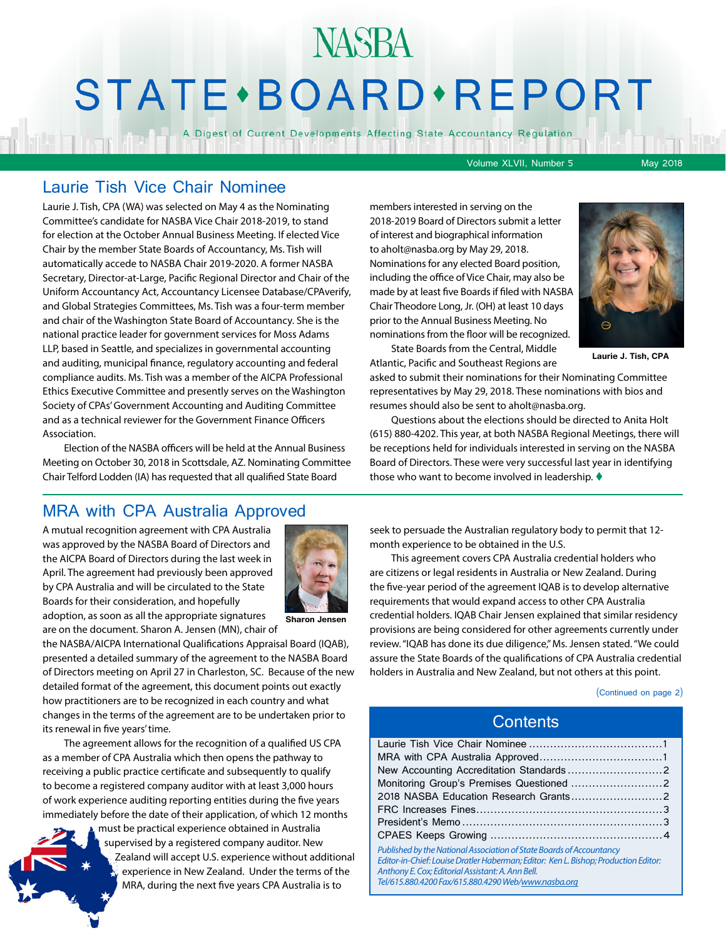# **NASBA** STATE · BOARD · REPORT

A Digest of Current Developments Affecting State Accountancy Regulation

Volume XLVII, Number 5 May 2018

### Laurie Tish Vice Chair Nominee

Laurie J. Tish, CPA (WA) was selected on May 4 as the Nominating Committee's candidate for NASBA Vice Chair 2018-2019, to stand for election at the October Annual Business Meeting. If elected Vice Chair by the member State Boards of Accountancy, Ms. Tish will automatically accede to NASBA Chair 2019-2020. A former NASBA Secretary, Director-at-Large, Pacific Regional Director and Chair of the Uniform Accountancy Act, Accountancy Licensee Database/CPAverify, and Global Strategies Committees, Ms. Tish was a four-term member and chair of the Washington State Board of Accountancy. She is the national practice leader for government services for Moss Adams LLP, based in Seattle, and specializes in governmental accounting and auditing, municipal finance, regulatory accounting and federal compliance audits. Ms. Tish was a member of the AICPA Professional Ethics Executive Committee and presently serves on the Washington Society of CPAs' Government Accounting and Auditing Committee and as a technical reviewer for the Government Finance Officers Association.

Election of the NASBA officers will be held at the Annual Business Meeting on October 30, 2018 in Scottsdale, AZ. Nominating Committee Chair Telford Lodden (IA) has requested that all qualified State Board

members interested in serving on the 2018-2019 Board of Directors submit a letter of interest and biographical information to aholt@nasba.org by May 29, 2018. Nominations for any elected Board position, including the office of Vice Chair, may also be made by at least five Boards if filed with NASBA Chair Theodore Long, Jr. (OH) at least 10 days prior to the Annual Business Meeting. No nominations from the floor will be recognized. State Boards from the Central, Middle



**Laurie J. Tish, CPA**

Atlantic, Pacific and Southeast Regions are asked to submit their nominations for their Nominating Committee representatives by May 29, 2018. These nominations with bios and resumes should also be sent to aholt@nasba.org.

Questions about the elections should be directed to Anita Holt (615) 880-4202. This year, at both NASBA Regional Meetings, there will be receptions held for individuals interested in serving on the NASBA Board of Directors. These were very successful last year in identifying those who want to become involved in leadership.  $\blacklozenge$ 

### MRA with CPA Australia Approved

A mutual recognition agreement with CPA Australia was approved by the NASBA Board of Directors and the AICPA Board of Directors during the last week in April. The agreement had previously been approved by CPA Australia and will be circulated to the State Boards for their consideration, and hopefully adoption, as soon as all the appropriate signatures are on the document. Sharon A. Jensen (MN), chair of



**Sharon Jensen**

the NASBA/AICPA International Qualifications Appraisal Board (IQAB), presented a detailed summary of the agreement to the NASBA Board of Directors meeting on April 27 in Charleston, SC. Because of the new detailed format of the agreement, this document points out exactly how practitioners are to be recognized in each country and what changes in the terms of the agreement are to be undertaken prior to its renewal in five years' time.

The agreement allows for the recognition of a qualified US CPA as a member of CPA Australia which then opens the pathway to receiving a public practice certificate and subsequently to qualify to become a registered company auditor with at least 3,000 hours of work experience auditing reporting entities during the five years immediately before the date of their application, of which 12 months

> must be practical experience obtained in Australia supervised by a registered company auditor. New Zealand will accept U.S. experience without additional experience in New Zealand. Under the terms of the MRA, during the next five years CPA Australia is to

seek to persuade the Australian regulatory body to permit that 12 month experience to be obtained in the U.S.

This agreement covers CPA Australia credential holders who are citizens or legal residents in Australia or New Zealand. During the five-year period of the agreement IQAB is to develop alternative requirements that would expand access to other CPA Australia credential holders. IQAB Chair Jensen explained that similar residency provisions are being considered for other agreements currently under review. "IQAB has done its due diligence," Ms. Jensen stated. "We could assure the State Boards of the qualifications of CPA Australia credential holders in Australia and New Zealand, but not others at this point.

(Continued on page 2)

#### **Contents**

| Published by the National Association of State Boards of Accountancy<br>Editor-in-Chief: Louise Dratler Haberman; Editor: Ken L. Bishop; Production Editor: |  |
|-------------------------------------------------------------------------------------------------------------------------------------------------------------|--|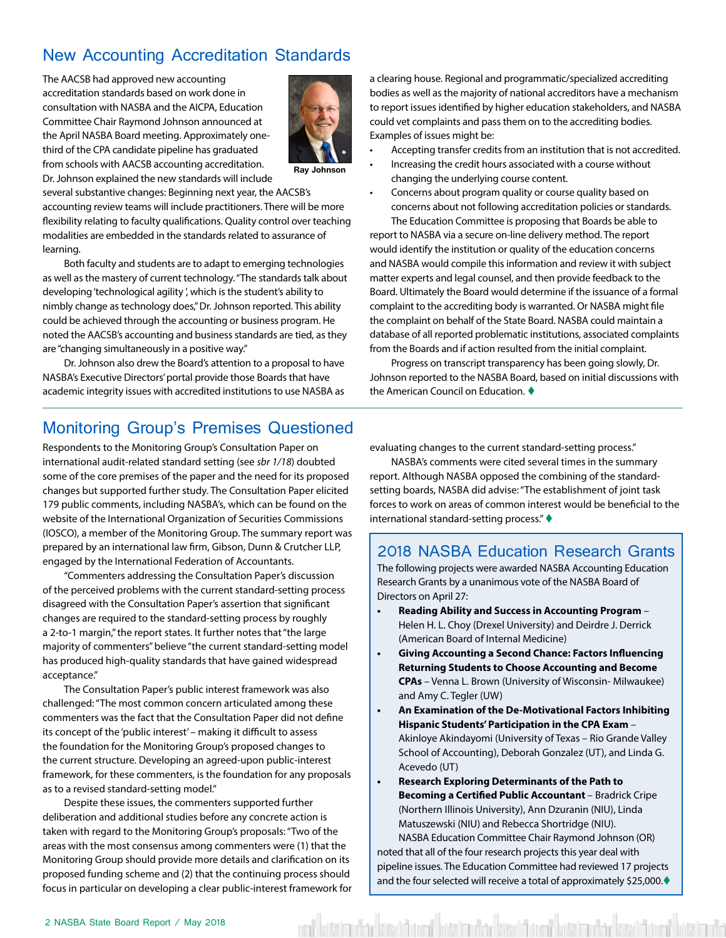### <span id="page-1-0"></span>New Accounting Accreditation Standards

The AACSB had approved new accounting accreditation standards based on work done in consultation with NASBA and the AICPA, Education Committee Chair Raymond Johnson announced at the April NASBA Board meeting. Approximately onethird of the CPA candidate pipeline has graduated from schools with AACSB accounting accreditation. Dr. Johnson explained the new standards will include



**Ray Johnson**

several substantive changes: Beginning next year, the AACSB's accounting review teams will include practitioners. There will be more flexibility relating to faculty qualifications. Quality control over teaching modalities are embedded in the standards related to assurance of learning.

Both faculty and students are to adapt to emerging technologies as well as the mastery of current technology. "The standards talk about developing 'technological agility ', which is the student's ability to nimbly change as technology does," Dr. Johnson reported. This ability could be achieved through the accounting or business program. He noted the AACSB's accounting and business standards are tied, as they are "changing simultaneously in a positive way."

Dr. Johnson also drew the Board's attention to a proposal to have NASBA's Executive Directors' portal provide those Boards that have academic integrity issues with accredited institutions to use NASBA as a clearing house. Regional and programmatic/specialized accrediting bodies as well as the majority of national accreditors have a mechanism to report issues identified by higher education stakeholders, and NASBA could vet complaints and pass them on to the accrediting bodies. Examples of issues might be:

- Accepting transfer credits from an institution that is not accredited.
- Increasing the credit hours associated with a course without changing the underlying course content.
- Concerns about program quality or course quality based on concerns about not following accreditation policies or standards.

The Education Committee is proposing that Boards be able to report to NASBA via a secure on-line delivery method. The report would identify the institution or quality of the education concerns and NASBA would compile this information and review it with subject matter experts and legal counsel, and then provide feedback to the Board. Ultimately the Board would determine if the issuance of a formal complaint to the accrediting body is warranted. Or NASBA might file the complaint on behalf of the State Board. NASBA could maintain a database of all reported problematic institutions, associated complaints from the Boards and if action resulted from the initial complaint.

Progress on transcript transparency has been going slowly, Dr. Johnson reported to the NASBA Board, based on initial discussions with the American Council on Education.  $\blacklozenge$ 

### Monitoring Group's Premises Questioned

Respondents to the Monitoring Group's Consultation Paper on international audit-related standard setting (see *sbr 1/18*) doubted some of the core premises of the paper and the need for its proposed changes but supported further study. The Consultation Paper elicited 179 public comments, including NASBA's, which can be found on the website of the International Organization of Securities Commissions (IOSCO), a member of the Monitoring Group. The summary report was prepared by an international law firm, Gibson, Dunn & Crutcher LLP, engaged by the International Federation of Accountants.

"Commenters addressing the Consultation Paper's discussion of the perceived problems with the current standard-setting process disagreed with the Consultation Paper's assertion that significant changes are required to the standard-setting process by roughly a 2-to-1 margin," the report states. It further notes that "the large majority of commenters" believe "the current standard-setting model has produced high-quality standards that have gained widespread acceptance."

The Consultation Paper's public interest framework was also challenged: "The most common concern articulated among these commenters was the fact that the Consultation Paper did not define its concept of the 'public interest' – making it difficult to assess the foundation for the Monitoring Group's proposed changes to the current structure. Developing an agreed-upon public-interest framework, for these commenters, is the foundation for any proposals as to a revised standard-setting model."

Despite these issues, the commenters supported further deliberation and additional studies before any concrete action is taken with regard to the Monitoring Group's proposals: "Two of the areas with the most consensus among commenters were (1) that the Monitoring Group should provide more details and clarification on its proposed funding scheme and (2) that the continuing process should focus in particular on developing a clear public-interest framework for evaluating changes to the current standard-setting process."

NASBA's comments were cited several times in the summary report. Although NASBA opposed the combining of the standardsetting boards, NASBA did advise: "The establishment of joint task forces to work on areas of common interest would be beneficial to the international standard-setting process." $\blacklozenge$ 

### 2018 NASBA Education Research Grants

The following projects were awarded NASBA Accounting Education Research Grants by a unanimous vote of the NASBA Board of Directors on April 27:

- **• Reading Ability and Success in Accounting Program** Helen H. L. Choy (Drexel University) and Deirdre J. Derrick (American Board of Internal Medicine)
- **• Giving Accounting a Second Chance: Factors Influencing Returning Students to Choose Accounting and Become CPAs** – Venna L. Brown (University of Wisconsin- Milwaukee) and Amy C. Tegler (UW)
- **• An Examination of the De-Motivational Factors Inhibiting Hispanic Students' Participation in the CPA Exam** – Akinloye Akindayomi (University of Texas – Rio Grande Valley School of Accounting), Deborah Gonzalez (UT), and Linda G. Acevedo (UT)
- **• Research Exploring Determinants of the Path to Becoming a Certified Public Accountant** – Bradrick Cripe (Northern Illinois University), Ann Dzuranin (NIU), Linda Matuszewski (NIU) and Rebecca Shortridge (NIU).

NASBA Education Committee Chair Raymond Johnson (OR) noted that all of the four research projects this year deal with pipeline issues. The Education Committee had reviewed 17 projects and the four selected will receive a total of approximately \$25,000. $\blacklozenge$ 

ittimakse kiivist over kiitsimakse kivalitaset kiivisimakse kivalitaset kiitsimaks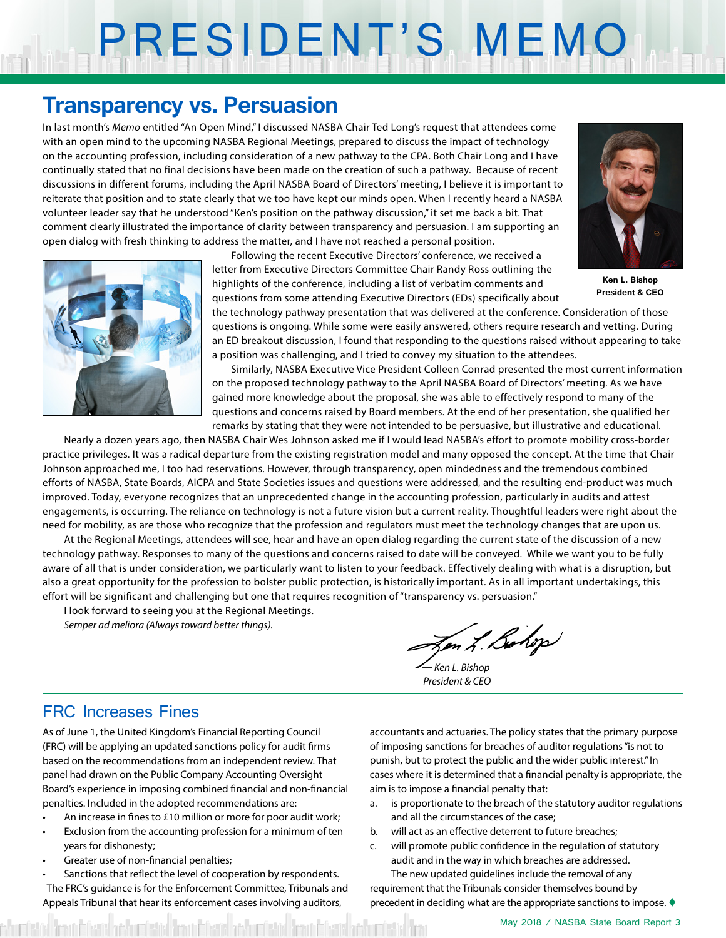# <span id="page-2-0"></span>PRESIDENT'S MEMO

### **Transparency vs. Persuasion**

In last month's *Memo* entitled "An Open Mind," I discussed NASBA Chair Ted Long's request that attendees come with an open mind to the upcoming NASBA Regional Meetings, prepared to discuss the impact of technology on the accounting profession, including consideration of a new pathway to the CPA. Both Chair Long and I have continually stated that no final decisions have been made on the creation of such a pathway. Because of recent discussions in different forums, including the April NASBA Board of Directors' meeting, I believe it is important to reiterate that position and to state clearly that we too have kept our minds open. When I recently heard a NASBA volunteer leader say that he understood "Ken's position on the pathway discussion," it set me back a bit. That comment clearly illustrated the importance of clarity between transparency and persuasion. I am supporting an open dialog with fresh thinking to address the matter, and I have not reached a personal position.

> Following the recent Executive Directors' conference, we received a letter from Executive Directors Committee Chair Randy Ross outlining the highlights of the conference, including a list of verbatim comments and questions from some attending Executive Directors (EDs) specifically about



**Ken L. Bishop President & CEO**

the technology pathway presentation that was delivered at the conference. Consideration of those questions is ongoing. While some were easily answered, others require research and vetting. During an ED breakout discussion, I found that responding to the questions raised without appearing to take a position was challenging, and I tried to convey my situation to the attendees.

Similarly, NASBA Executive Vice President Colleen Conrad presented the most current information on the proposed technology pathway to the April NASBA Board of Directors' meeting. As we have gained more knowledge about the proposal, she was able to effectively respond to many of the questions and concerns raised by Board members. At the end of her presentation, she qualified her remarks by stating that they were not intended to be persuasive, but illustrative and educational.

Nearly a dozen years ago, then NASBA Chair Wes Johnson asked me if I would lead NASBA's effort to promote mobility cross-border practice privileges. It was a radical departure from the existing registration model and many opposed the concept. At the time that Chair Johnson approached me, I too had reservations. However, through transparency, open mindedness and the tremendous combined efforts of NASBA, State Boards, AICPA and State Societies issues and questions were addressed, and the resulting end-product was much improved. Today, everyone recognizes that an unprecedented change in the accounting profession, particularly in audits and attest engagements, is occurring. The reliance on technology is not a future vision but a current reality. Thoughtful leaders were right about the need for mobility, as are those who recognize that the profession and regulators must meet the technology changes that are upon us.

At the Regional Meetings, attendees will see, hear and have an open dialog regarding the current state of the discussion of a new technology pathway. Responses to many of the questions and concerns raised to date will be conveyed. While we want you to be fully aware of all that is under consideration, we particularly want to listen to your feedback. Effectively dealing with what is a disruption, but also a great opportunity for the profession to bolster public protection, is historically important. As in all important undertakings, this effort will be significant and challenging but one that requires recognition of "transparency vs. persuasion."

I look forward to seeing you at the Regional Meetings.

*Semper ad meliora (Always toward better things).*

Jen L. Bolop

*— Ken L. Bishop President & CEO*

### FRC Increases Fines

As of June 1, the United Kingdom's Financial Reporting Council (FRC) will be applying an updated sanctions policy for audit firms based on the recommendations from an independent review. That panel had drawn on the Public Company Accounting Oversight Board's experience in imposing combined financial and non-financial penalties. Included in the adopted recommendations are:

- An increase in fines to £10 million or more for poor audit work;
- Exclusion from the accounting profession for a minimum of ten years for dishonesty;
- Greater use of non-financial penalties;
- Sanctions that reflect the level of cooperation by respondents. The FRC's guidance is for the Enforcement Committee, Tribunals and Appeals Tribunal that hear its enforcement cases involving auditors,

accountants and actuaries. The policy states that the primary purpose of imposing sanctions for breaches of auditor regulations "is not to punish, but to protect the public and the wider public interest." In cases where it is determined that a financial penalty is appropriate, the aim is to impose a financial penalty that:

- a. is proportionate to the breach of the statutory auditor regulations and all the circumstances of the case;
- b. will act as an effective deterrent to future breaches;
- c. will promote public confidence in the regulation of statutory audit and in the way in which breaches are addressed. The new updated guidelines include the removal of any

requirement that the Tribunals consider themselves bound by precedent in deciding what are the appropriate sanctions to impose.  $\blacklozenge$